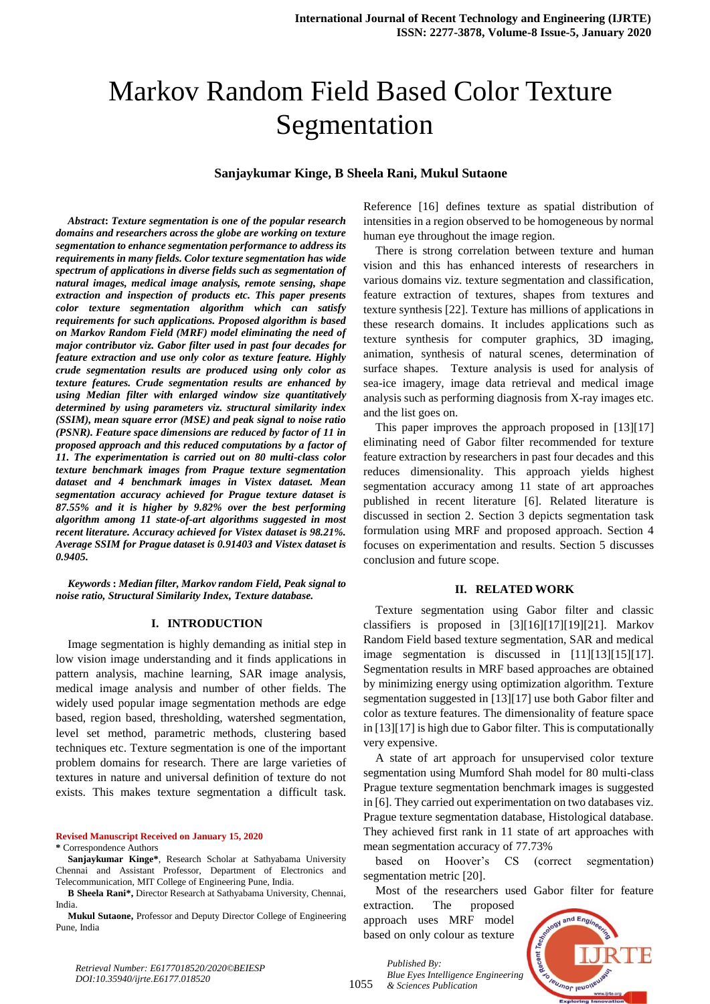# Markov Random Field Based Color Texture Segmentation

## **Sanjaykumar Kinge, B Sheela Rani, Mukul Sutaone**

*Abstract***:** *Texture segmentation is one of the popular research domains and researchers across the globe are working on texture segmentation to enhance segmentation performance to address its requirements in many fields. Color texture segmentation has wide spectrum of applications in diverse fields such as segmentation of natural images, medical image analysis, remote sensing, shape extraction and inspection of products etc. This paper presents color texture segmentation algorithm which can satisfy requirements for such applications. Proposed algorithm is based on Markov Random Field (MRF) model eliminating the need of major contributor viz. Gabor filter used in past four decades for feature extraction and use only color as texture feature. Highly crude segmentation results are produced using only color as texture features. Crude segmentation results are enhanced by using Median filter with enlarged window size quantitatively determined by using parameters viz. structural similarity index (SSIM), mean square error (MSE) and peak signal to noise ratio (PSNR). Feature space dimensions are reduced by factor of 11 in proposed approach and this reduced computations by a factor of 11. The experimentation is carried out on 80 multi-class color texture benchmark images from Prague texture segmentation dataset and 4 benchmark images in Vistex dataset. Mean segmentation accuracy achieved for Prague texture dataset is 87.55% and it is higher by 9.82% over the best performing algorithm among 11 state-of-art algorithms suggested in most recent literature. Accuracy achieved for Vistex dataset is 98.21%. Average SSIM for Prague dataset is 0.91403 and Vistex dataset is 0.9405.*

*Keywords* **:** *Median filter, Markov random Field, Peak signal to noise ratio, Structural Similarity Index, Texture database.*

#### **I. INTRODUCTION**

Image segmentation is highly demanding as initial step in low vision image understanding and it finds applications in pattern analysis, machine learning, SAR image analysis, medical image analysis and number of other fields. The widely used popular image segmentation methods are edge based, region based, thresholding, watershed segmentation, level set method, parametric methods, clustering based techniques etc. Texture segmentation is one of the important problem domains for research. There are large varieties of textures in nature and universal definition of texture do not exists. This makes texture segmentation a difficult task.

**Revised Manuscript Received on January 15, 2020**

**\*** Correspondence Authors

**B Sheela Rani\*,** Director Research at Sathyabama University, Chennai, India.

**Mukul Sutaone,** Professor and Deputy Director College of Engineering Pune, India

Reference [16] defines texture as spatial distribution of intensities in a region observed to be homogeneous by normal human eye throughout the image region.

There is strong correlation between texture and human vision and this has enhanced interests of researchers in various domains viz. texture segmentation and classification, feature extraction of textures, shapes from textures and texture synthesis [22]. Texture has millions of applications in these research domains. It includes applications such as texture synthesis for computer graphics, 3D imaging, animation, synthesis of natural scenes, determination of surface shapes. Texture analysis is used for analysis of sea-ice imagery, image data retrieval and medical image analysis such as performing diagnosis from X-ray images etc. and the list goes on.

This paper improves the approach proposed in [13][17] eliminating need of Gabor filter recommended for texture feature extraction by researchers in past four decades and this reduces dimensionality. This approach yields highest segmentation accuracy among 11 state of art approaches published in recent literature [6]. Related literature is discussed in section 2. Section 3 depicts segmentation task formulation using MRF and proposed approach. Section 4 focuses on experimentation and results. Section 5 discusses conclusion and future scope.

#### **II. RELATED WORK**

Texture segmentation using Gabor filter and classic classifiers is proposed in [3][16][17][19][21]. Markov Random Field based texture segmentation, SAR and medical image segmentation is discussed in [11][13][15][17]. Segmentation results in MRF based approaches are obtained by minimizing energy using optimization algorithm. Texture segmentation suggested in [13][17] use both Gabor filter and color as texture features. The dimensionality of feature space in [13][17] is high due to Gabor filter. This is computationally very expensive.

A state of art approach for unsupervised color texture segmentation using Mumford Shah model for 80 multi-class Prague texture segmentation benchmark images is suggested in [6]. They carried out experimentation on two databases viz. Prague texture segmentation database, Histological database. They achieved first rank in 11 state of art approaches with mean segmentation accuracy of 77.73%

based on Hoover's CS (correct segmentation) segmentation metric [20].

Most of the researchers used Gabor filter for feature extraction. The proposed

approach uses MRF model based on only colour as texture

*Published By:*



*Retrieval Number: E6177018520/2020©BEIESP DOI:10.35940/ijrte.E6177.018520*

1055 *Blue Eyes Intelligence Engineering & Sciences Publication* 

**Sanjaykumar Kinge\***, Research Scholar at Sathyabama University Chennai and Assistant Professor, Department of Electronics and Telecommunication, MIT College of Engineering Pune, India.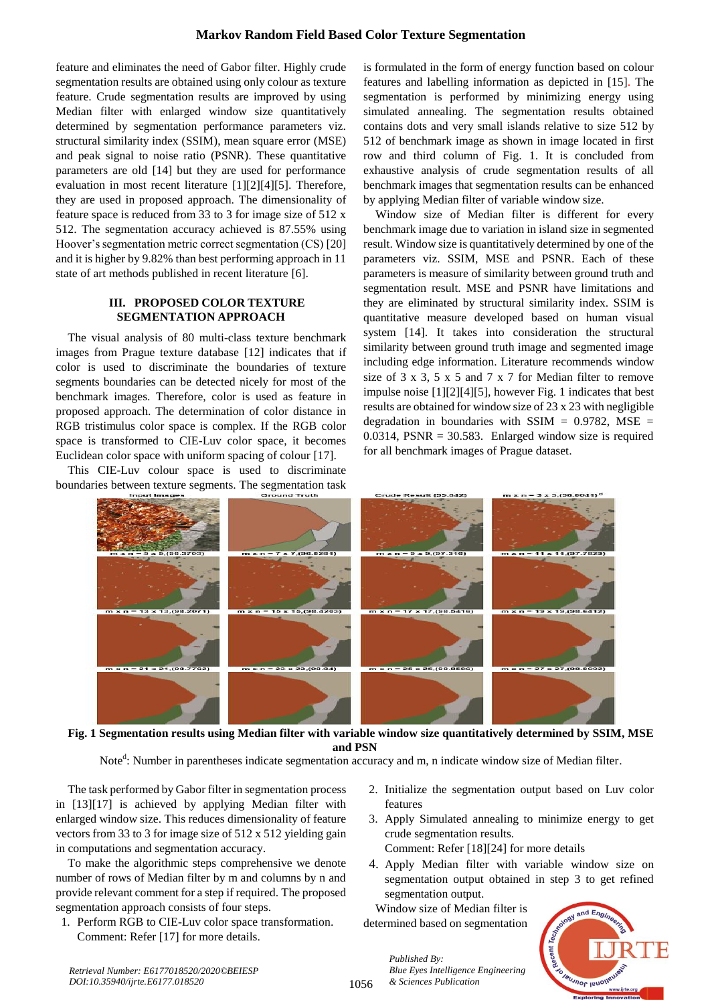feature and eliminates the need of Gabor filter. Highly crude segmentation results are obtained using only colour as texture feature. Crude segmentation results are improved by using Median filter with enlarged window size quantitatively determined by segmentation performance parameters viz. structural similarity index (SSIM), mean square error (MSE) and peak signal to noise ratio (PSNR). These quantitative parameters are old [14] but they are used for performance evaluation in most recent literature [1][2][4][5]. Therefore, they are used in proposed approach. The dimensionality of feature space is reduced from 33 to 3 for image size of 512 x 512. The segmentation accuracy achieved is 87.55% using Hoover's segmentation metric correct segmentation (CS) [20] and it is higher by 9.82% than best performing approach in 11 state of art methods published in recent literature [6].

# **III. PROPOSED COLOR TEXTURE SEGMENTATION APPROACH**

The visual analysis of 80 multi-class texture benchmark images from Prague texture database [12] indicates that if color is used to discriminate the boundaries of texture segments boundaries can be detected nicely for most of the benchmark images. Therefore, color is used as feature in proposed approach. The determination of color distance in RGB tristimulus color space is complex. If the RGB color space is transformed to CIE-Luv color space, it becomes Euclidean color space with uniform spacing of colour [17].

This CIE-Luv colour space is used to discriminate boundaries between texture segments. The segmentation task is formulated in the form of energy function based on colour features and labelling information as depicted in [15]. The segmentation is performed by minimizing energy using simulated annealing. The segmentation results obtained contains dots and very small islands relative to size 512 by 512 of benchmark image as shown in image located in first row and third column of Fig. 1. It is concluded from exhaustive analysis of crude segmentation results of all benchmark images that segmentation results can be enhanced by applying Median filter of variable window size.

Window size of Median filter is different for every benchmark image due to variation in island size in segmented result. Window size is quantitatively determined by one of the parameters viz. SSIM, MSE and PSNR. Each of these parameters is measure of similarity between ground truth and segmentation result. MSE and PSNR have limitations and they are eliminated by structural similarity index. SSIM is quantitative measure developed based on human visual system [14]. It takes into consideration the structural similarity between ground truth image and segmented image including edge information. Literature recommends window size of 3 x 3, 5 x 5 and 7 x 7 for Median filter to remove impulse noise [1][2][4][5], however Fig. 1 indicates that best results are obtained for window size of 23 x 23 with negligible degradation in boundaries with SSIM  $= 0.9782$ , MSE  $=$ 0.0314,  $PSNR = 30.583$ . Enlarged window size is required for all benchmark images of Prague dataset.



**Fig. 1 Segmentation results using Median filter with variable window size quantitatively determined by SSIM, MSE and PSN**

Note<sup>d</sup>: Number in parentheses indicate segmentation accuracy and m, n indicate window size of Median filter.

The task performed by Gabor filter in segmentation process in [13][17] is achieved by applying Median filter with enlarged window size. This reduces dimensionality of feature vectors from 33 to 3 for image size of 512 x 512 yielding gain in computations and segmentation accuracy.

To make the algorithmic steps comprehensive we denote number of rows of Median filter by m and columns by n and provide relevant comment for a step if required. The proposed segmentation approach consists of four steps.

1. Perform RGB to CIE-Luv color space transformation. Comment: Refer [17] for more details.

- 2. Initialize the segmentation output based on Luv color features
- 3. Apply Simulated annealing to minimize energy to get crude segmentation results. Comment: Refer [18][24] for more details
- 4. Apply Median filter with variable window size on segmentation output obtained in step 3 to get refined segmentation output.

Window size of Median filter is determined based on segmentation

*Blue Eyes Intelligence Engineering* 

*Published By:*

*& Sciences Publication* 

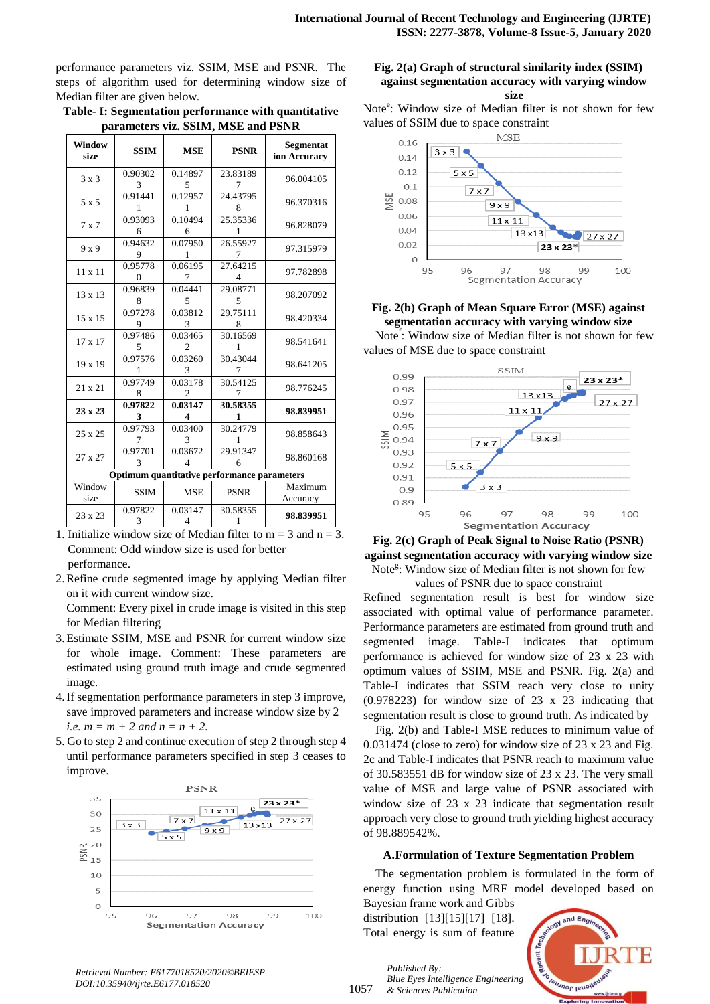performance parameters viz. SSIM, MSE and PSNR. The steps of algorithm used for determining window size of Median filter are given below.

|                                    | Table- I: Segmentation performance with quantitative |
|------------------------------------|------------------------------------------------------|
| parameters viz. SSIM, MSE and PSNR |                                                      |

| Window<br>size                              | <b>SSIM</b>  | <b>MSE</b>                             | <b>PSNR</b>   | Segmentat<br>ion Accuracy |  |  |  |
|---------------------------------------------|--------------|----------------------------------------|---------------|---------------------------|--|--|--|
| $3 \times 3$                                | 0.90302<br>3 | 0.14897<br>5                           | 23.83189<br>7 | 96.004105                 |  |  |  |
| 5 x 5                                       | 0.91441<br>1 | 0.12957<br>1                           | 24.43795<br>8 | 96.370316                 |  |  |  |
| 7x7                                         | 0.93093<br>6 | 0.10494<br>6                           | 25.35336<br>1 | 96.828079                 |  |  |  |
| 9x9                                         | 0.94632<br>9 | 0.07950<br>1                           | 26.55927<br>7 | 97.315979                 |  |  |  |
| $11 \times 11$                              | 0.95778<br>0 | 0.06195<br>7                           | 27.64215<br>4 | 97.782898                 |  |  |  |
| 13 x 13                                     | 0.96839<br>8 | 0.04441<br>5                           | 29.08771<br>5 | 98.207092                 |  |  |  |
| 15 x 15                                     | 0.97278<br>9 | 0.03812<br>3                           | 29.75111<br>8 | 98.420334                 |  |  |  |
| 17 x 17                                     | 0.97486<br>5 | 0.03465<br>$\mathcal{D}_{\mathcal{L}}$ | 30.16569<br>1 | 98.541641                 |  |  |  |
| 19 x 19                                     | 0.97576<br>1 | 0.03260<br>3                           | 30.43044<br>7 | 98.641205                 |  |  |  |
| 21 x 21                                     | 0.97749<br>8 | 0.03178<br>$\mathcal{D}_{\mathcal{L}}$ | 30.54125<br>7 | 98.776245                 |  |  |  |
| $23 \times 23$                              | 0.97822<br>3 | 0.03147<br>4                           | 30.58355<br>1 | 98.839951                 |  |  |  |
| 25 x 25                                     | 0.97793<br>7 | 0.03400<br>3                           | 30.24779<br>1 | 98.858643                 |  |  |  |
| 27 x 27                                     | 0.97701<br>3 | 0.03672<br>4                           | 29.91347<br>6 | 98.860168                 |  |  |  |
| Optimum quantitative performance parameters |              |                                        |               |                           |  |  |  |
| Window<br>size                              | <b>SSIM</b>  | <b>MSE</b>                             | <b>PSNR</b>   | Maximum<br>Accuracy       |  |  |  |
| 23 x 23                                     | 0.97822<br>3 | 0.03147<br>$\overline{4}$              | 30.58355<br>1 | 98.839951                 |  |  |  |

1. Initialize window size of Median filter to  $m = 3$  and  $n = 3$ . Comment: Odd window size is used for better

performance.

2.Refine crude segmented image by applying Median filter on it with current window size.

Comment: Every pixel in crude image is visited in this step for Median filtering

- 3.Estimate SSIM, MSE and PSNR for current window size for whole image. Comment: These parameters are estimated using ground truth image and crude segmented image*.*
- 4.If segmentation performance parameters in step 3 improve, save improved parameters and increase window size by 2 *i.e.*  $m = m + 2$  *and*  $n = n + 2$ .
- 5. Go to step 2 and continue execution of step 2 through step 4 until performance parameters specified in step 3 ceases to improve.



## **Fig. 2(a) Graph of structural similarity index (SSIM) against segmentation accuracy with varying window size**

Note<sup>e</sup>: Window size of Median filter is not shown for few values of SSIM due to space constraint



# **Fig. 2(b) Graph of Mean Square Error (MSE) against segmentation accuracy with varying window size**

Note<sup>f</sup>: Window size of Median filter is not shown for few values of MSE due to space constraint



**Fig. 2(c) Graph of Peak Signal to Noise Ratio (PSNR) against segmentation accuracy with varying window size** Note<sup>g</sup>: Window size of Median filter is not shown for few

values of PSNR due to space constraint

Refined segmentation result is best for window size associated with optimal value of performance parameter. Performance parameters are estimated from ground truth and segmented image. Table-I indicates that optimum performance is achieved for window size of 23 x 23 with optimum values of SSIM, MSE and PSNR. Fig. 2(a) and Table-I indicates that SSIM reach very close to unity (0.978223) for window size of 23 x 23 indicating that segmentation result is close to ground truth. As indicated by

Fig. 2(b) and Table-I MSE reduces to minimum value of 0.031474 (close to zero) for window size of 23 x 23 and Fig. 2c and Table-I indicates that PSNR reach to maximum value of 30.583551 dB for window size of 23 x 23. The very small value of MSE and large value of PSNR associated with window size of 23 x 23 indicate that segmentation result approach very close to ground truth yielding highest accuracy of 98.889542%.

# **A.Formulation of Texture Segmentation Problem**

The segmentation problem is formulated in the form of energy function using MRF model developed based on

Bayesian frame work and Gibbs distribution [13][15][17] [18]. Total energy is sum of feature

*Published By:*



*Retrieval Number: E6177018520/2020©BEIESP DOI:10.35940/ijrte.E6177.018520*

1057 *Blue Eyes Intelligence Engineering & Sciences Publication*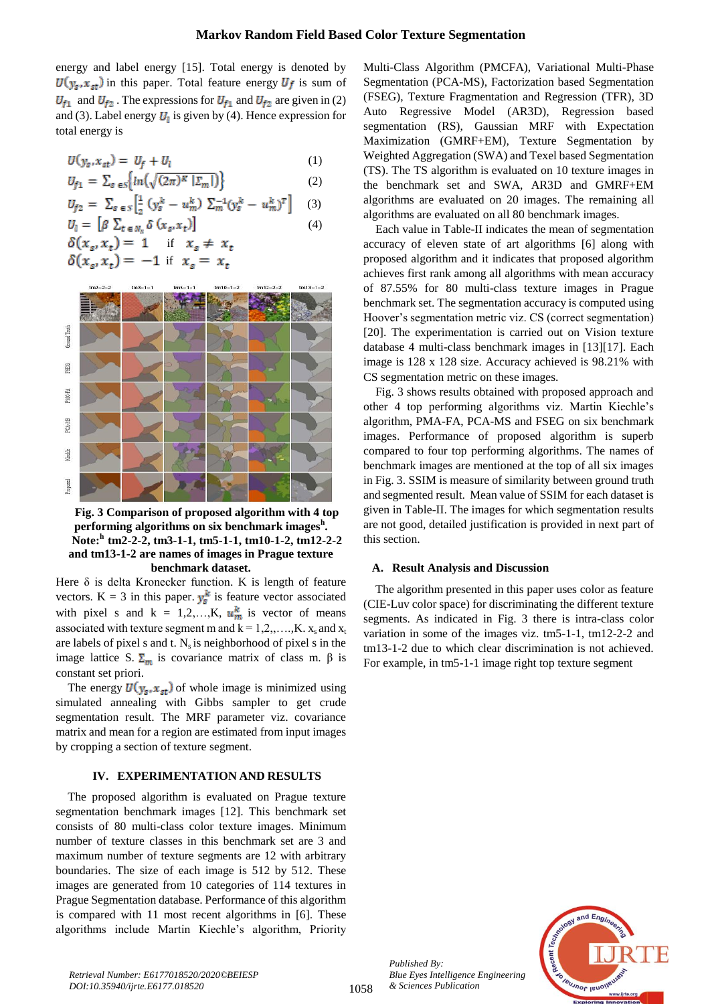energy and label energy [15]. Total energy is denoted by  $U(y_s, x_{st})$  in this paper. Total feature energy  $U_f$  is sum of  $U_{f1}$  and  $U_{f2}$ . The expressions for  $U_{f1}$  and  $U_{f2}$  are given in (2) and (3). Label energy  $U_1$  is given by (4). Hence expression for total energy is

$$
U(y_s, x_{st}) = U_f + U_l \tag{1}
$$

$$
U_{f1} = \sum_{s \in S} \{ ln(\sqrt{(2\pi)^k} |E_m|) \}
$$
(2)  

$$
U_{f2} = \sum_{s \in S} \left[ \frac{1}{s} (y_s^k - u_m^k) \sum_{m=1}^{s-1} (y_s^k - u_m^k)^T \right]
$$
(3)

$$
U_l = \left[ \beta \sum_{t \in N_v} \delta(x_s, x_t) \right]
$$
 (4)

$$
\delta(x_s, x_t) = 1 \quad \text{if} \quad x_s \neq x_t
$$
  

$$
\delta(x_s, x_t) = -1 \quad \text{if} \quad x_s = x_t
$$



**Fig. 3 Comparison of proposed algorithm with 4 top performing algorithms on six benchmark images<sup>h</sup> . Note:<sup>h</sup>tm2-2-2, tm3-1-1, tm5-1-1, tm10-1-2, tm12-2-2 and tm13-1-2 are names of images in Prague texture benchmark dataset.**

Here  $\delta$  is delta Kronecker function. K is length of feature vectors. K = 3 in this paper.  $y_s^k$  is feature vector associated with pixel s and  $k = 1,2,...,K$ ,  $u_m^k$  is vector of means associated with texture segment m and  $k = 1, 2, ..., K$ .  $x_s$  and  $x_t$ are labels of pixel s and t.  $N_s$  is neighborhood of pixel s in the image lattice S.  $\Sigma_m$  is covariance matrix of class m. β is constant set priori.

The energy  $U(y_s, x_{st})$  of whole image is minimized using simulated annealing with Gibbs sampler to get crude segmentation result. The MRF parameter viz. covariance matrix and mean for a region are estimated from input images by cropping a section of texture segment.

## **IV. EXPERIMENTATION AND RESULTS**

The proposed algorithm is evaluated on Prague texture segmentation benchmark images [12]. This benchmark set consists of 80 multi-class color texture images. Minimum number of texture classes in this benchmark set are 3 and maximum number of texture segments are 12 with arbitrary boundaries. The size of each image is 512 by 512. These images are generated from 10 categories of 114 textures in Prague Segmentation database. Performance of this algorithm is compared with 11 most recent algorithms in [6]. These algorithms include Martin Kiechle's algorithm, Priority Multi-Class Algorithm (PMCFA), Variational Multi-Phase Segmentation (PCA-MS), Factorization based Segmentation (FSEG), Texture Fragmentation and Regression (TFR), 3D Auto Regressive Model (AR3D), Regression based segmentation (RS), Gaussian MRF with Expectation Maximization (GMRF+EM), Texture Segmentation by Weighted Aggregation (SWA) and Texel based Segmentation (TS). The TS algorithm is evaluated on 10 texture images in the benchmark set and SWA, AR3D and GMRF+EM algorithms are evaluated on 20 images. The remaining all algorithms are evaluated on all 80 benchmark images.

Each value in Table-II indicates the mean of segmentation accuracy of eleven state of art algorithms [6] along with proposed algorithm and it indicates that proposed algorithm achieves first rank among all algorithms with mean accuracy of 87.55% for 80 multi-class texture images in Prague benchmark set. The segmentation accuracy is computed using Hoover's segmentation metric viz. CS (correct segmentation) [20]. The experimentation is carried out on Vision texture database 4 multi-class benchmark images in [13][17]. Each image is 128 x 128 size. Accuracy achieved is 98.21% with CS segmentation metric on these images.

Fig. 3 shows results obtained with proposed approach and other 4 top performing algorithms viz. Martin Kiechle's algorithm, PMA-FA, PCA-MS and FSEG on six benchmark images. Performance of proposed algorithm is superb compared to four top performing algorithms. The names of benchmark images are mentioned at the top of all six images in Fig. 3. SSIM is measure of similarity between ground truth and segmented result. Mean value of SSIM for each dataset is given in Table-II. The images for which segmentation results are not good, detailed justification is provided in next part of this section.

## **A. Result Analysis and Discussion**

The algorithm presented in this paper uses color as feature (CIE-Luv color space) for discriminating the different texture segments. As indicated in Fig. 3 there is intra-class color variation in some of the images viz. tm5-1-1, tm12-2-2 and tm13-1-2 due to which clear discrimination is not achieved. For example, in tm5-1-1 image right top texture segment



*Published By:*

*& Sciences Publication* 

*Blue Eyes Intelligence Engineering*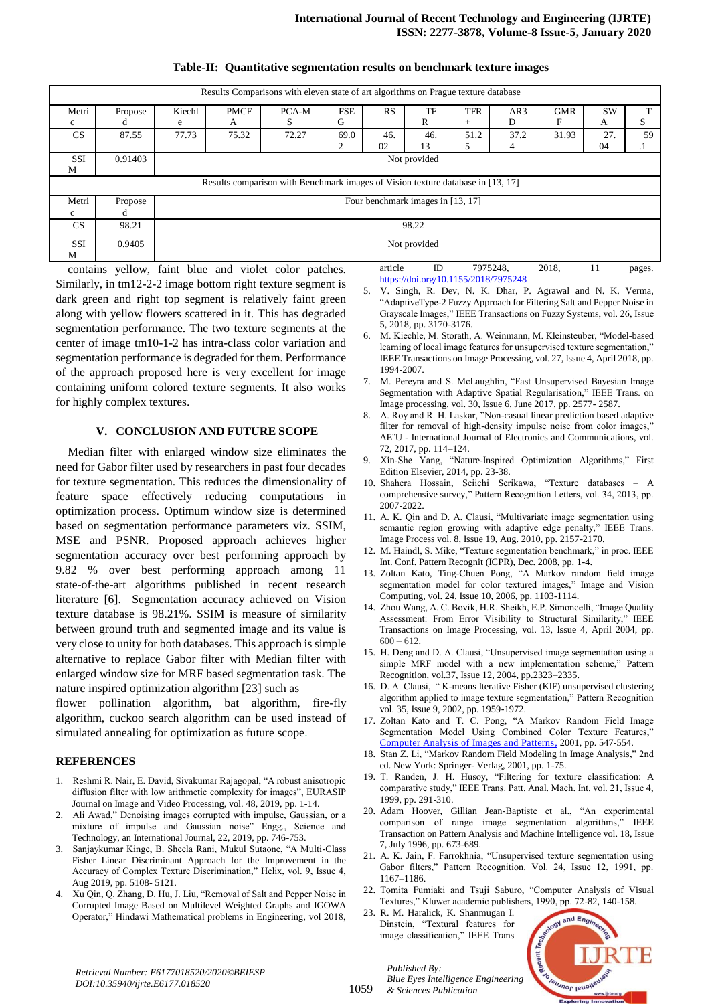| Results Comparisons with eleven state of art algorithms on Prague texture database |         |                                   |             |       |            |     |     |            |      |            |           |    |
|------------------------------------------------------------------------------------|---------|-----------------------------------|-------------|-------|------------|-----|-----|------------|------|------------|-----------|----|
| Metri                                                                              | Propose | Kiechl                            | <b>PMCF</b> | PCA-M | <b>FSE</b> | RS  | TF  | <b>TFR</b> | AR3  | <b>GMR</b> | <b>SW</b> |    |
| c                                                                                  |         | e                                 | А           | S     | G          |     | R   | $^{+}$     | D    | F          | A         | S  |
| CS.                                                                                | 87.55   | 77.73                             | 75.32       | 72.27 | 69.0       | 46. | 46. | 51.2       | 37.2 | 31.93      | 27.       | 59 |
|                                                                                    |         |                                   |             |       | ∍          | 02  | 13  |            | 4    |            | 04        |    |
| <b>SSI</b>                                                                         | 0.91403 | Not provided                      |             |       |            |     |     |            |      |            |           |    |
| M                                                                                  |         |                                   |             |       |            |     |     |            |      |            |           |    |
| Results comparison with Benchmark images of Vision texture database in [13, 17]    |         |                                   |             |       |            |     |     |            |      |            |           |    |
| Metri                                                                              | Propose | Four benchmark images in [13, 17] |             |       |            |     |     |            |      |            |           |    |
| c                                                                                  |         |                                   |             |       |            |     |     |            |      |            |           |    |
| <b>CS</b>                                                                          | 98.21   | 98.22                             |             |       |            |     |     |            |      |            |           |    |
| SSI<br>M                                                                           | 0.9405  | Not provided                      |             |       |            |     |     |            |      |            |           |    |

#### **Table-II: Quantitative segmentation results on benchmark texture images**

contains yellow, faint blue and violet color patches. Similarly, in tm12-2-2 image bottom right texture segment is dark green and right top segment is relatively faint green along with yellow flowers scattered in it. This has degraded segmentation performance. The two texture segments at the center of image tm10-1-2 has intra-class color variation and segmentation performance is degraded for them. Performance of the approach proposed here is very excellent for image containing uniform colored texture segments. It also works for highly complex textures.

#### **V. CONCLUSION AND FUTURE SCOPE**

Median filter with enlarged window size eliminates the need for Gabor filter used by researchers in past four decades for texture segmentation. This reduces the dimensionality of feature space effectively reducing computations in optimization process. Optimum window size is determined based on segmentation performance parameters viz. SSIM, MSE and PSNR. Proposed approach achieves higher segmentation accuracy over best performing approach by 9.82 % over best performing approach among 11 state-of-the-art algorithms published in recent research literature [6]. Segmentation accuracy achieved on Vision texture database is 98.21%. SSIM is measure of similarity between ground truth and segmented image and its value is very close to unity for both databases. This approach is simple alternative to replace Gabor filter with Median filter with enlarged window size for MRF based segmentation task. The nature inspired optimization algorithm [23] such as

flower pollination algorithm, bat algorithm, fire-fly algorithm, cuckoo search algorithm can be used instead of simulated annealing for optimization as future scope.

## **REFERENCES**

- 1. Reshmi R. Nair, E. David, Sivakumar Rajagopal, "A robust anisotropic diffusion filter with low arithmetic complexity for images", EURASIP Journal on Image and Video Processing, vol. 48, 2019, pp. 1-14.
- 2. Ali Awad," Denoising images corrupted with impulse, Gaussian, or a mixture of impulse and Gaussian noise" Engg., Science and Technology, an International Journal, 22, 2019, pp. 746-753.
- 3. Sanjaykumar Kinge, B. Sheela Rani, Mukul Sutaone, "A Multi-Class Fisher Linear Discriminant Approach for the Improvement in the Accuracy of Complex Texture Discrimination," Helix, vol. 9, Issue 4, Aug 2019, pp. 5108- 5121.
- 4. Xu Qin, Q. Zhang, D. Hu, J. Liu, "Removal of Salt and Pepper Noise in Corrupted Image Based on Multilevel Weighted Graphs and IGOWA Operator," Hindawi Mathematical problems in Engineering, vol 2018,

5. V. Singh, R. Dev, N. K. Dhar, P. Agrawal and N. K. Verma, "AdaptiveType-2 Fuzzy Approach for Filtering Salt and Pepper Noise in Grayscale Images," IEEE Transactions on Fuzzy Systems, vol. 26, Issue 5, 2018, pp. 3170-3176.

<https://doi.org/10.1155/2018/7975248>

article ID 7975248, 2018, 11 pages.

- 6. M. Kiechle, M. Storath, A. Weinmann, M. Kleinsteuber, "Model-based learning of local image features for unsupervised texture segmentation," IEEE Transactions on Image Processing, vol. 27, Issue 4, April 2018, pp. 1994-2007.
- 7. M. Pereyra and S. McLaughlin, "Fast Unsupervised Bayesian Image Segmentation with Adaptive Spatial Regularisation," IEEE Trans. on Image processing, vol. 30, Issue 6, June 2017, pp. 2577- 2587.
- 8. A. Roy and R. H. Laskar, "Non-casual linear prediction based adaptive filter for removal of high-density impulse noise from color images," AE¨U - International Journal of Electronics and Communications, vol. 72, 2017, pp. 114–124.
- 9. Xin-She Yang, "Nature-Inspired Optimization Algorithms," First Edition Elsevier, 2014, pp. 23-38.
- 10. Shahera Hossain, Seiichi Serikawa, "Texture databases A comprehensive survey," Pattern Recognition Letters, vol. 34, 2013, pp. 2007-2022.
- 11. A. K. Qin and D. A. Clausi, "Multivariate image segmentation using semantic region growing with adaptive edge penalty," IEEE Trans. Image Process vol. 8, Issue 19, Aug. 2010, pp. 2157-2170.
- 12. M. Haindl, S. Mike, "Texture segmentation benchmark," in proc. IEEE Int. Conf. Pattern Recognit (ICPR), Dec. 2008, pp. 1-4.
- 13. Zoltan Kato, Ting-Chuen Pong, "A Markov random field image segmentation model for color textured images," Image and Vision Computing, vol. 24, Issue 10, 2006, pp. 1103-1114.
- 14. Zhou Wang, A. C. Bovik, H.R. Sheikh, E.P. Simoncelli, "Image Quality Assessment: From Error Visibility to Structural Similarity," IEEE Transactions on Image Processing, vol. 13, Issue 4, April 2004, pp.  $600 - 612$ .
- 15. H. Deng and D. A. Clausi, "Unsupervised image segmentation using a simple MRF model with a new implementation scheme," Pattern Recognition, vol.37, Issue 12, 2004, pp.2323–2335.
- 16. D. A. Clausi, " K-means Iterative Fisher (KIF) unsupervised clustering algorithm applied to image texture segmentation," Pattern Recognition vol. 35, Issue 9, 2002, pp. 1959-1972.
- 17. Zoltan Kato and T. C. Pong, "A Markov Random Field Image Segmentation Model Using Combined Color Texture Features," [Computer Analysis of Images and Patterns,](https://link.springer.com/book/10.1007/3-540-44692-3) 2001, pp. 547-554.
- 18. Stan Z. Li, "Markov Random Field Modeling in Image Analysis," 2nd ed. New York: Springer- Verlag, 2001, pp. 1-75.
- 19. T. Randen, J. H. Husoy, "Filtering for texture classification: A comparative study," IEEE Trans. Patt. Anal. Mach. Int. vol. 21, Issue 4, 1999, pp. 291-310.
- 20. Adam Hoover, Gillian Jean-Baptiste et al., "An experimental comparison of range image segmentation algorithms," IEEE Transaction on Pattern Analysis and Machine Intelligence vol. 18, Issue 7, July 1996, pp. 673-689.
- 21. A. K. Jain, F. Farrokhnia, "Unsupervised texture segmentation using Gabor filters," Pattern Recognition. Vol. 24, Issue 12, 1991, pp. 1167–1186.
- 22. Tomita Fumiaki and Tsuji Saburo, "Computer Analysis of Visual Textures," Kluwer academic publishers, 1990, pp. 72-82, 140-158.
- 23. R. M. Haralick, K. Shanmugan I. Dinstein, "Textural features for image classification," IEEE Trans



*Retrieval Number: E6177018520/2020©BEIESP DOI:10.35940/ijrte.E6177.018520*

1059

*Published By: Blue Eyes Intelligence Engineering & Sciences Publication*